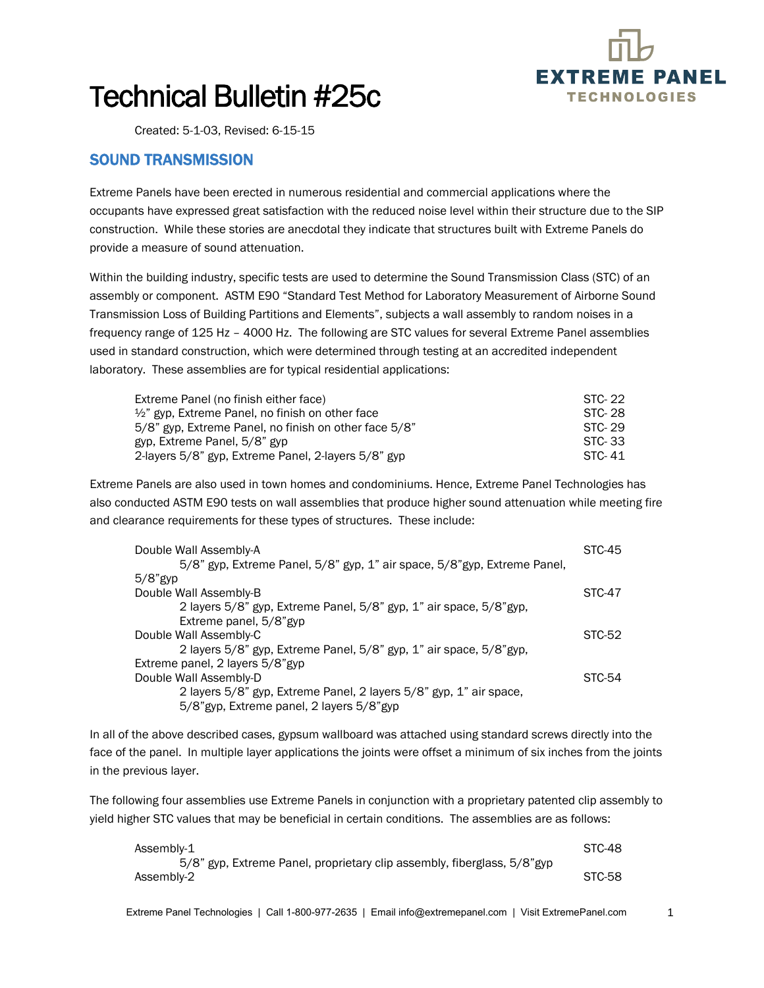

1

## Technical Bulletin #25c

Created: 5-1-03, Revised: 6-15-15

## SOUND TRANSMISSION

Extreme Panels have been erected in numerous residential and commercial applications where the occupants have expressed great satisfaction with the reduced noise level within their structure due to the SIP construction. While these stories are anecdotal they indicate that structures built with Extreme Panels do provide a measure of sound attenuation.

Within the building industry, specific tests are used to determine the Sound Transmission Class (STC) of an assembly or component. ASTM E90 "Standard Test Method for Laboratory Measurement of Airborne Sound Transmission Loss of Building Partitions and Elements", subjects a wall assembly to random noises in a frequency range of 125 Hz – 4000 Hz. The following are STC values for several Extreme Panel assemblies used in standard construction, which were determined through testing at an accredited independent laboratory. These assemblies are for typical residential applications:

| Extreme Panel (no finish either face)                       | STC-22 |
|-------------------------------------------------------------|--------|
| $\frac{1}{2}$ " gyp. Extreme Panel, no finish on other face | STC-28 |
| 5/8" gyp. Extreme Panel, no finish on other face 5/8"       | STC-29 |
| gyp. Extreme Panel, 5/8" gyp                                | STC-33 |
| 2-layers 5/8" gyp. Extreme Panel, 2-layers 5/8" gyp         | STC-41 |

Extreme Panels are also used in town homes and condominiums. Hence, Extreme Panel Technologies has also conducted ASTM E90 tests on wall assemblies that produce higher sound attenuation while meeting fire and clearance requirements for these types of structures. These include:

| Double Wall Assembly-A                                                    | STC-45 |
|---------------------------------------------------------------------------|--------|
| 5/8" gyp, Extreme Panel, 5/8" gyp, 1" air space, 5/8" gyp, Extreme Panel, |        |
| $5/8$ "gyp                                                                |        |
| Double Wall Assembly-B                                                    | STC-47 |
| 2 layers 5/8" gyp, Extreme Panel, 5/8" gyp, 1" air space, 5/8" gyp,       |        |
| Extreme panel, 5/8"gyp                                                    |        |
| Double Wall Assembly-C                                                    | STC-52 |
| 2 layers 5/8" gyp, Extreme Panel, 5/8" gyp, 1" air space, 5/8" gyp,       |        |
| Extreme panel, 2 layers 5/8"gyp                                           |        |
| Double Wall Assembly-D                                                    | STC-54 |
| 2 layers 5/8" gyp, Extreme Panel, 2 layers 5/8" gyp, 1" air space,        |        |
| 5/8"gyp, Extreme panel, 2 layers 5/8"gyp                                  |        |

In all of the above described cases, gypsum wallboard was attached using standard screws directly into the face of the panel. In multiple layer applications the joints were offset a minimum of six inches from the joints in the previous layer.

The following four assemblies use Extreme Panels in conjunction with a proprietary patented clip assembly to yield higher STC values that may be beneficial in certain conditions. The assemblies are as follows:

| Assembly-1                                                               | STC-48 |
|--------------------------------------------------------------------------|--------|
| 5/8" gyp, Extreme Panel, proprietary clip assembly, fiberglass, 5/8" gyp |        |
| Assembly-2                                                               | STC-58 |

Extreme Panel Technologies | Call 1-800-977-2635 | Email info@extremepanel.com | Visit ExtremePanel.com